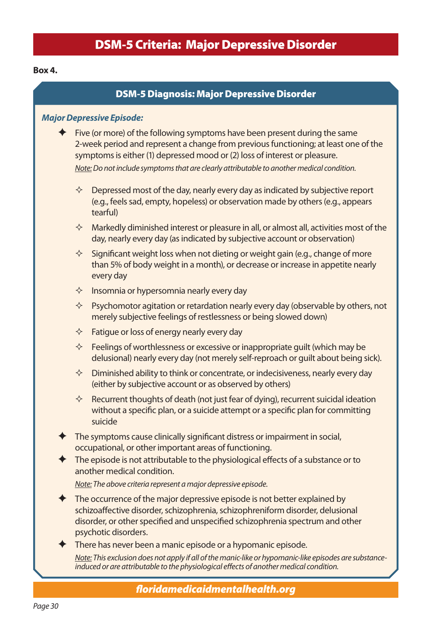# DSM-5 Criteria: Major Depressive Disorder

#### **Box 4.**

### DSM-5 Diagnosis: Major Depressive Disorder

#### *Major Depressive Episode:*

- Five (or more) of the following symptoms have been present during the same 2-week period and represent a change from previous functioning; at least one of the symptoms is either (1) depressed mood or (2) loss of interest or pleasure. *Note: Do not include symptoms that are clearly attributable to another medical condition.*
	- $\Diamond$  Depressed most of the day, nearly every day as indicated by subjective report (e.g., feels sad, empty, hopeless) or observation made by others (e.g., appears tearful)
	- $\Diamond$  Markedly diminished interest or pleasure in all, or almost all, activities most of the day, nearly every day (as indicated by subjective account or observation)
	- $\Diamond$  Significant weight loss when not dieting or weight gain (e.g., change of more than 5% of body weight in a month), or decrease or increase in appetite nearly every day
	- $\Diamond$  Insomnia or hypersomnia nearly every day
	- $\Diamond$  Psychomotor agitation or retardation nearly every day (observable by others, not merely subjective feelings of restlessness or being slowed down)
	- $\Diamond$  Fatigue or loss of energy nearly every day
	- $\Diamond$  Feelings of worthlessness or excessive or inappropriate guilt (which may be delusional) nearly every day (not merely self-reproach or guilt about being sick).
	- $\Diamond$  Diminished ability to think or concentrate, or indecisiveness, nearly every day (either by subjective account or as observed by others)
	- $\diamond$  Recurrent thoughts of death (not just fear of dying), recurrent suicidal ideation without a specific plan, or a suicide attempt or a specific plan for committing suicide
- The symptoms cause clinically significant distress or impairment in social, occupational, or other important areas of functioning.
- The episode is not attributable to the physiological effects of a substance or to another medical condition.

*Note: The above criteria represent a major depressive episode.*

 $\blacklozenge$  The occurrence of the major depressive episode is not better explained by schizoaffective disorder, schizophrenia, schizophreniform disorder, delusional disorder, or other specified and unspecified schizophrenia spectrum and other psychotic disorders.

There has never been a manic episode or a hypomanic episode.

*Note: This exclusion does not apply if all of the manic-like or hypomanic-like episodes are substanceinduced or are attributable to the physiological effects of another medical condition.*

*floridamedicaidmentalhealth.org*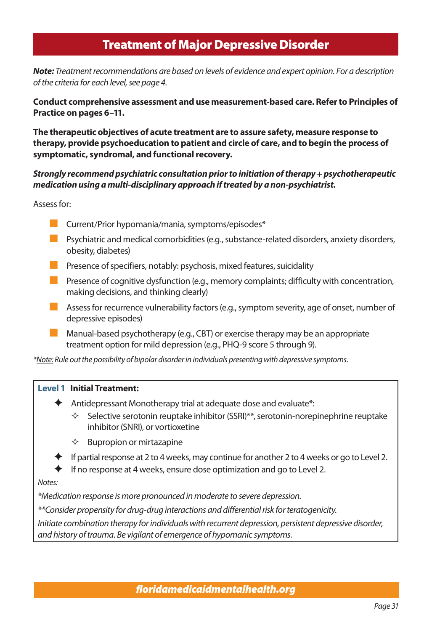# Treatment of Major Depressive Disorder

*Note: Treatment recommendations are based on levels of evidence and expert opinion. For a description of the criteria for each level, see page 4.* 

**Conduct comprehensive assessment and use measurement-based care. Refer to Principles of Practice on pages 6–11.**

**The therapeutic objectives of acute treatment are to assure safety, measure response to therapy, provide psychoeducation to patient and circle of care, and to begin the process of symptomatic, syndromal, and functional recovery.**

### *Strongly recommend psychiatric consultation prior to initiation of therapy + psychotherapeutic medication using a multi-disciplinary approach if treated by a non-psychiatrist.*

Assess for:

- Current/Prior hypomania/mania, symptoms/episodes\*
- **n** Psychiatric and medical comorbidities (e.g., substance-related disorders, anxiety disorders, obesity, diabetes)
- **n** Presence of specifiers, notably: psychosis, mixed features, suicidality
- **n** Presence of cognitive dysfunction (e.g., memory complaints; difficulty with concentration, making decisions, and thinking clearly)
- **Assess for recurrence vulnerability factors (e.g., symptom severity, age of onset, number of** depressive episodes)
- **n** Manual-based psychotherapy (e.g., CBT) or exercise therapy may be an appropriate treatment option for mild depression (e.g., PHQ-9 score 5 through 9).

*\*Note: Rule out the possibility of bipolar disorder in individuals presenting with depressive symptoms.*

#### **Level 1 Initial Treatment:**

- Antidepressant Monotherapy trial at adequate dose and evaluate\*:
	- $\Diamond$  Selective serotonin reuptake inhibitor (SSRI)\*\*, serotonin-norepinephrine reuptake inhibitor (SNRI), or vortioxetine
	- $\Leftrightarrow$  Bupropion or mirtazapine
- If partial response at 2 to 4 weeks, may continue for another 2 to 4 weeks or go to Level 2.
- If no response at 4 weeks, ensure dose optimization and go to Level 2.

### *Notes:*

*\*Medication response is more pronounced in moderate to severe depression.*

*\*\*Consider propensity for drug-drug interactions and differential risk for teratogenicity.*

*Initiate combination therapy for individuals with recurrent depression, persistent depressive disorder, and history of trauma. Be vigilant of emergence of hypomanic symptoms.*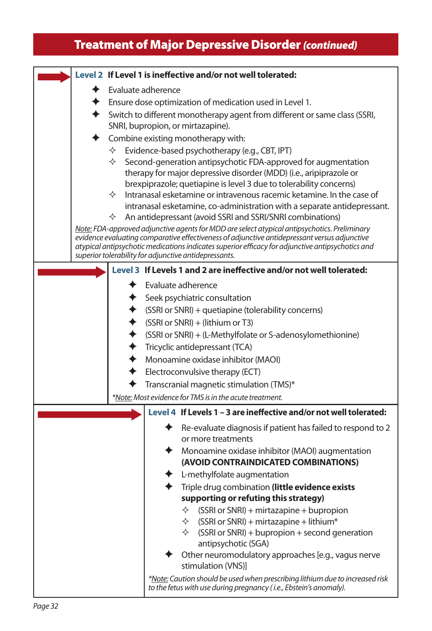# Treatment of Major Depressive Disorder *(continued)*

|  |   | Level 2 If Level 1 is ineffective and/or not well tolerated:                                                                                                                                 |
|--|---|----------------------------------------------------------------------------------------------------------------------------------------------------------------------------------------------|
|  |   | Evaluate adherence                                                                                                                                                                           |
|  |   | Ensure dose optimization of medication used in Level 1.                                                                                                                                      |
|  |   | Switch to different monotherapy agent from different or same class (SSRI,                                                                                                                    |
|  |   | SNRI, bupropion, or mirtazapine).                                                                                                                                                            |
|  |   | Combine existing monotherapy with:                                                                                                                                                           |
|  | ✧ | Evidence-based psychotherapy (e.g., CBT, IPT)                                                                                                                                                |
|  | ✧ | Second-generation antipsychotic FDA-approved for augmentation<br>therapy for major depressive disorder (MDD) (i.e., aripiprazole or                                                          |
|  |   | brexpiprazole; quetiapine is level 3 due to tolerability concerns)                                                                                                                           |
|  | ✧ | Intranasal esketamine or intravenous racemic ketamine. In the case of                                                                                                                        |
|  |   | intranasal esketamine, co-administration with a separate antidepressant.                                                                                                                     |
|  | ✧ | An antidepressant (avoid SSRI and SSRI/SNRI combinations)                                                                                                                                    |
|  |   | Note: FDA-approved adjunctive agents for MDD are select atypical antipsychotics. Preliminary<br>evidence evaluating comparative effectiveness of adjunctive antidepressant versus adjunctive |
|  |   | atypical antipsychotic medications indicates superior efficacy for adjunctive antipsychotics and                                                                                             |
|  |   | superior tolerability for adjunctive antidepressants.                                                                                                                                        |
|  |   | Level 3 If Levels 1 and 2 are ineffective and/or not well tolerated:                                                                                                                         |
|  |   | Evaluate adherence                                                                                                                                                                           |
|  |   | Seek psychiatric consultation                                                                                                                                                                |
|  |   | (SSRI or SNRI) + quetiapine (tolerability concerns)                                                                                                                                          |
|  |   | (SSRI or SNRI) + (lithium or T3)                                                                                                                                                             |
|  |   | (SSRI or SNRI) + (L-Methylfolate or S-adenosylomethionine)                                                                                                                                   |
|  |   | Tricyclic antidepressant (TCA)                                                                                                                                                               |
|  |   | Monoamine oxidase inhibitor (MAOI)                                                                                                                                                           |
|  |   | Electroconvulsive therapy (ECT)                                                                                                                                                              |
|  |   | Transcranial magnetic stimulation (TMS)*                                                                                                                                                     |
|  |   | *Note: Most evidence for TMS is in the acute treatment.                                                                                                                                      |
|  |   | Level 4 If Levels 1 - 3 are ineffective and/or not well tolerated:                                                                                                                           |
|  |   | Re-evaluate diagnosis if patient has failed to respond to 2                                                                                                                                  |
|  |   | or more treatments                                                                                                                                                                           |
|  |   | Monoamine oxidase inhibitor (MAOI) augmentation                                                                                                                                              |
|  |   | (AVOID CONTRAINDICATED COMBINATIONS)                                                                                                                                                         |
|  |   | L-methylfolate augmentation                                                                                                                                                                  |
|  |   | Triple drug combination (little evidence exists                                                                                                                                              |
|  |   | supporting or refuting this strategy)                                                                                                                                                        |
|  |   | (SSRI or SNRI) + mirtazapine + bupropion<br>✧<br>$\diamond$ (SSRI or SNRI) + mirtazapine + lithium*                                                                                          |
|  |   | $\diamondsuit$ (SSRI or SNRI) + bupropion + second generation                                                                                                                                |
|  |   | antipsychotic (SGA)                                                                                                                                                                          |
|  |   | Other neuromodulatory approaches [e.g., vagus nerve                                                                                                                                          |
|  |   | stimulation (VNS)]                                                                                                                                                                           |
|  |   | *Note: Caution should be used when prescribing lithium due to increased risk<br>to the fetus with use during pregnancy (i.e., Ebstein's anomaly).                                            |
|  |   |                                                                                                                                                                                              |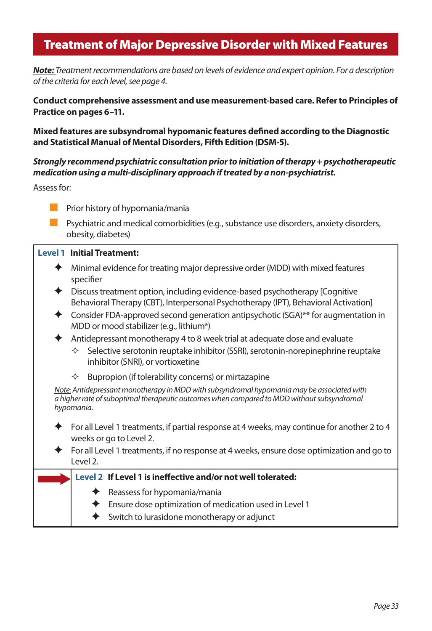# Treatment of Major Depressive Disorder with Mixed Features

*Note: Treatment recommendations are based on levels of evidence and expert opinion. For a description of the criteria for each level, see page 4.* 

**Conduct comprehensive assessment and use measurement-based care. Refer to Principles of Practice on pages 6–11.**

**Mixed features are subsyndromal hypomanic features defined according to the Diagnostic and Statistical Manual of Mental Disorders, Fifth Edition (DSM-5).**

#### *Strongly recommend psychiatric consultation prior to initiation of therapy + psychotherapeutic medication using a multi-disciplinary approach if treated by a non-psychiatrist.*

Assess for:

- Prior history of hypomania/mania
- Psychiatric and medical comorbidities (e.g., substance use disorders, anxiety disorders, obesity, diabetes)

#### **Level 1 Initial Treatment:**

- Minimal evidence for treating major depressive order (MDD) with mixed features specifier
- Discuss treatment option, including evidence-based psychotherapy [Cognitive Behavioral Therapy (CBT), Interpersonal Psychotherapy (IPT), Behavioral Activation]
- Consider FDA-approved second generation antipsychotic (SGA)<sup>\*\*</sup> for augmentation in MDD or mood stabilizer (e.g., lithium\*)
- Antidepressant monotherapy 4 to 8 week trial at adequate dose and evaluate
	- Selective serotonin reuptake inhibitor (SSRI), serotonin-norepinephrine reuptake inhibitor (SNRI), or vortioxetine
	- Bupropion (if tolerability concerns) or mirtazapine

*Note: Antidepressant monotherapy in MDD with subsyndromal hypomania may be associated with a higher rate of suboptimal therapeutic outcomes when compared to MDD without subsyndromal hypomania.*

- For all Level 1 treatments, if partial response at 4 weeks, may continue for another 2 to 4 weeks or go to Level 2.
- For all Level 1 treatments, if no response at 4 weeks, ensure dose optimization and go to Level 2.

#### **Level 2 If Level 1 is ineffective and/or not well tolerated:**

- $\triangleleft$  Reassess for hypomania/mania
- $\blacklozenge$  Ensure dose optimization of medication used in Level 1
- $\blacklozenge$  Switch to lurasidone monotherapy or adjunct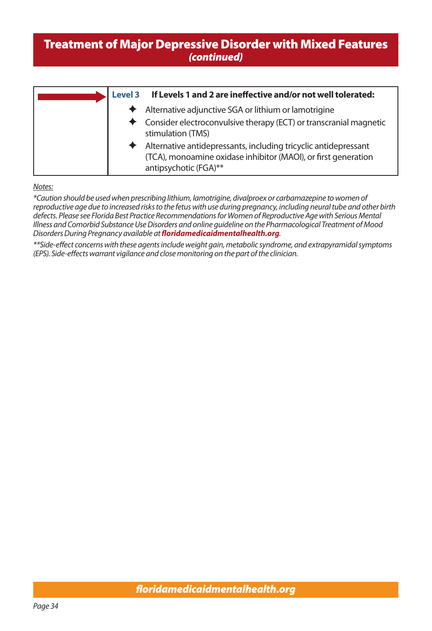### Treatment of Major Depressive Disorder with Mixed Features *(continued)*

| <b>Level 3</b> | If Levels 1 and 2 are ineffective and/or not well tolerated:                                                                                               |
|----------------|------------------------------------------------------------------------------------------------------------------------------------------------------------|
|                | Alternative adjunctive SGA or lithium or lamotrigine                                                                                                       |
|                | $\blacklozenge$ Consider electroconvulsive therapy (ECT) or transcranial magnetic<br>stimulation (TMS)                                                     |
|                | Alternative antidepressants, including tricyclic antidepressant<br>(TCA), monoamine oxidase inhibitor (MAOI), or first generation<br>antipsychotic (FGA)** |

*Notes:*

*\*Caution should be used when prescribing lithium, lamotrigine, divalproex or carbamazepine to women of reproductive age due to increased risks to the fetus with use during pregnancy, including neural tube and other birth*  defects. Please see Florida Best Practice Recommendations for Women of Reproductive Age with Serious Mental *Illness and Comorbid Substance Use Disorders and online guideline on the Pharmacological Treatment of Mood Disorders During Pregnancy available at floridamedicaidmentalhealth.org.*

*\*\*Side-effect concerns with these agents include weight gain, metabolic syndrome, and extrapyramidal symptoms (EPS). Side-effects warrant vigilance and close monitoring on the part of the clinician.*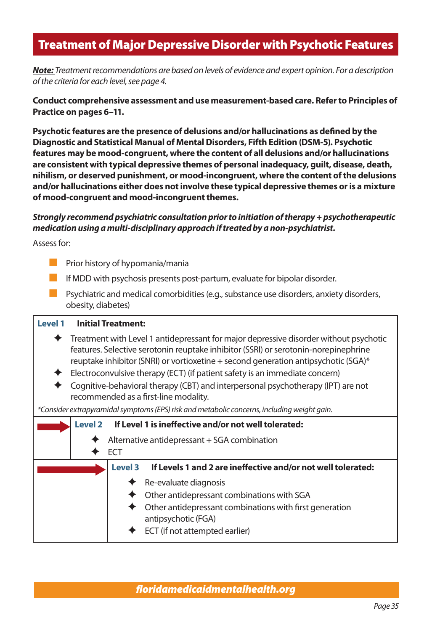# Treatment of Major Depressive Disorder with Psychotic Features

*Note: Treatment recommendations are based on levels of evidence and expert opinion. For a description of the criteria for each level, see page 4.* 

**Conduct comprehensive assessment and use measurement-based care. Refer to Principles of Practice on pages 6–11.**

**Psychotic features are the presence of delusions and/or hallucinations as defined by the Diagnostic and Statistical Manual of Mental Disorders, Fifth Edition (DSM-5). Psychotic features may be mood-congruent, where the content of all delusions and/or hallucinations are consistent with typical depressive themes of personal inadequacy, guilt, disease, death, nihilism, or deserved punishment, or mood-incongruent, where the content of the delusions and/or hallucinations either does not involve these typical depressive themes or is a mixture of mood-congruent and mood-incongruent themes.**

#### *Strongly recommend psychiatric consultation prior to initiation of therapy + psychotherapeutic medication using a multi-disciplinary approach if treated by a non-psychiatrist.*

Assess for:

- Prior history of hypomania/mania
- If MDD with psychosis presents post-partum, evaluate for bipolar disorder.
- **n** Psychiatric and medical comorbidities (e.g., substance use disorders, anxiety disorders, obesity, diabetes)

### **Level 1 Initial Treatment:**

- $\blacklozenge$  Treatment with Level 1 antidepressant for major depressive disorder without psychotic features. Selective serotonin reuptake inhibitor (SSRI) or serotonin-norepinephrine reuptake inhibitor (SNRI) or vortioxetine + second generation antipsychotic (SGA)\*
- Electroconvulsive therapy (ECT) (if patient safety is an immediate concern)
- F Cognitive-behavioral therapy (CBT) and interpersonal psychotherapy (IPT) are not recommended as a first-line modality.

*\*Consider extrapyramidal symptoms (EPS) risk and metabolic concerns, including weight gain.*

| Level 2 | If Level 1 is ineffective and/or not well tolerated: |                                                                                |  |  |
|---------|------------------------------------------------------|--------------------------------------------------------------------------------|--|--|
|         | Alternative antidepressant + SGA combination         |                                                                                |  |  |
|         | <b>FCT</b>                                           |                                                                                |  |  |
|         | Level 3                                              | If Levels 1 and 2 are ineffective and/or not well tolerated:                   |  |  |
|         |                                                      | Re-evaluate diagnosis                                                          |  |  |
|         |                                                      | Other antidepressant combinations with SGA                                     |  |  |
|         |                                                      | Other antidepressant combinations with first generation<br>antipsychotic (FGA) |  |  |
|         |                                                      | ECT (if not attempted earlier)                                                 |  |  |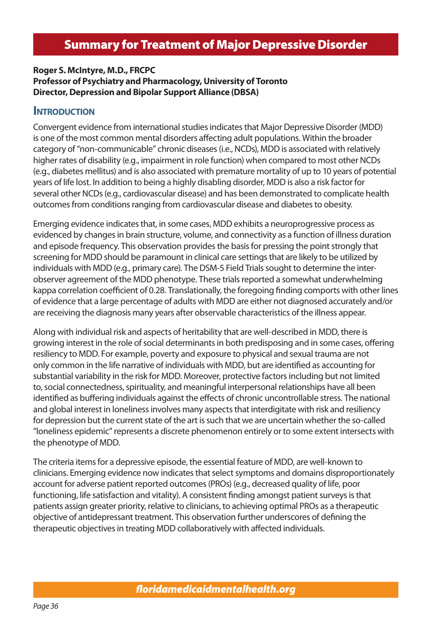### **Roger S. McIntyre, M.D., FRCPC Professor of Psychiatry and Pharmacology, University of Toronto Director, Depression and Bipolar Support Alliance (DBSA)**

### **INTRODUCTION**

Convergent evidence from international studies indicates that Major Depressive Disorder (MDD) is one of the most common mental disorders affecting adult populations. Within the broader category of "non-communicable" chronic diseases (i.e., NCDs), MDD is associated with relatively higher rates of disability (e.g., impairment in role function) when compared to most other NCDs (e.g., diabetes mellitus) and is also associated with premature mortality of up to 10 years of potential years of life lost. In addition to being a highly disabling disorder, MDD is also a risk factor for several other NCDs (e.g., cardiovascular disease) and has been demonstrated to complicate health outcomes from conditions ranging from cardiovascular disease and diabetes to obesity.

Emerging evidence indicates that, in some cases, MDD exhibits a neuroprogressive process as evidenced by changes in brain structure, volume, and connectivity as a function of illness duration and episode frequency. This observation provides the basis for pressing the point strongly that screening for MDD should be paramount in clinical care settings that are likely to be utilized by individuals with MDD (e.g., primary care). The DSM-5 Field Trials sought to determine the interobserver agreement of the MDD phenotype. These trials reported a somewhat underwhelming kappa correlation coefficient of 0.28. Translationally, the foregoing finding comports with other lines of evidence that a large percentage of adults with MDD are either not diagnosed accurately and/or are receiving the diagnosis many years after observable characteristics of the illness appear.

Along with individual risk and aspects of heritability that are well-described in MDD, there is growing interest in the role of social determinants in both predisposing and in some cases, offering resiliency to MDD. For example, poverty and exposure to physical and sexual trauma are not only common in the life narrative of individuals with MDD, but are identified as accounting for substantial variability in the risk for MDD. Moreover, protective factors including but not limited to, social connectedness, spirituality, and meaningful interpersonal relationships have all been identified as buffering individuals against the effects of chronic uncontrollable stress. The national and global interest in loneliness involves many aspects that interdigitate with risk and resiliency for depression but the current state of the art is such that we are uncertain whether the so-called "loneliness epidemic" represents a discrete phenomenon entirely or to some extent intersects with the phenotype of MDD.

The criteria items for a depressive episode, the essential feature of MDD, are well-known to clinicians. Emerging evidence now indicates that select symptoms and domains disproportionately account for adverse patient reported outcomes (PROs) (e.g., decreased quality of life, poor functioning, life satisfaction and vitality). A consistent finding amongst patient surveys is that patients assign greater priority, relative to clinicians, to achieving optimal PROs as a therapeutic objective of antidepressant treatment. This observation further underscores of defining the therapeutic objectives in treating MDD collaboratively with affected individuals.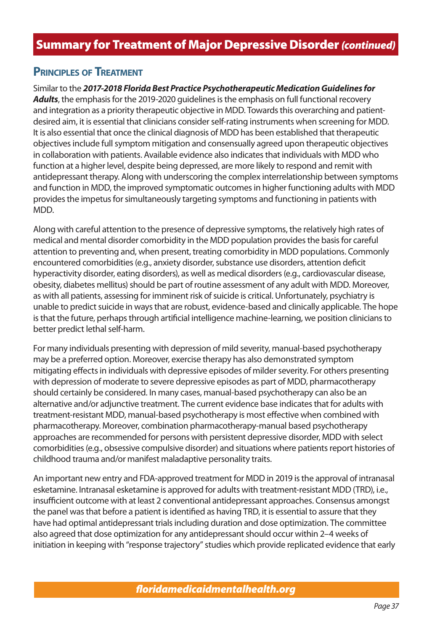### **Principles of Treatment**

Similar to the *2017-2018 Florida Best Practice Psychotherapeutic Medication Guidelines for Adults*, the emphasis for the 2019-2020 guidelines is the emphasis on full functional recovery and integration as a priority therapeutic objective in MDD. Towards this overarching and patientdesired aim, it is essential that clinicians consider self-rating instruments when screening for MDD. It is also essential that once the clinical diagnosis of MDD has been established that therapeutic objectives include full symptom mitigation and consensually agreed upon therapeutic objectives in collaboration with patients. Available evidence also indicates that individuals with MDD who function at a higher level, despite being depressed, are more likely to respond and remit with antidepressant therapy. Along with underscoring the complex interrelationship between symptoms and function in MDD, the improved symptomatic outcomes in higher functioning adults with MDD provides the impetus for simultaneously targeting symptoms and functioning in patients with MDD.

Along with careful attention to the presence of depressive symptoms, the relatively high rates of medical and mental disorder comorbidity in the MDD population provides the basis for careful attention to preventing and, when present, treating comorbidity in MDD populations. Commonly encountered comorbidities (e.g., anxiety disorder, substance use disorders, attention deficit hyperactivity disorder, eating disorders), as well as medical disorders (e.g., cardiovascular disease, obesity, diabetes mellitus) should be part of routine assessment of any adult with MDD. Moreover, as with all patients, assessing for imminent risk of suicide is critical. Unfortunately, psychiatry is unable to predict suicide in ways that are robust, evidence-based and clinically applicable. The hope is that the future, perhaps through artificial intelligence machine-learning, we position clinicians to better predict lethal self-harm.

For many individuals presenting with depression of mild severity, manual-based psychotherapy may be a preferred option. Moreover, exercise therapy has also demonstrated symptom mitigating effects in individuals with depressive episodes of milder severity. For others presenting with depression of moderate to severe depressive episodes as part of MDD, pharmacotherapy should certainly be considered. In many cases, manual-based psychotherapy can also be an alternative and/or adjunctive treatment. The current evidence base indicates that for adults with treatment-resistant MDD, manual-based psychotherapy is most effective when combined with pharmacotherapy. Moreover, combination pharmacotherapy-manual based psychotherapy approaches are recommended for persons with persistent depressive disorder, MDD with select comorbidities (e.g., obsessive compulsive disorder) and situations where patients report histories of childhood trauma and/or manifest maladaptive personality traits.

An important new entry and FDA-approved treatment for MDD in 2019 is the approval of intranasal esketamine. Intranasal esketamine is approved for adults with treatment-resistant MDD (TRD), i.e., insufficient outcome with at least 2 conventional antidepressant approaches. Consensus amongst the panel was that before a patient is identified as having TRD, it is essential to assure that they have had optimal antidepressant trials including duration and dose optimization. The committee also agreed that dose optimization for any antidepressant should occur within 2–4 weeks of initiation in keeping with "response trajectory" studies which provide replicated evidence that early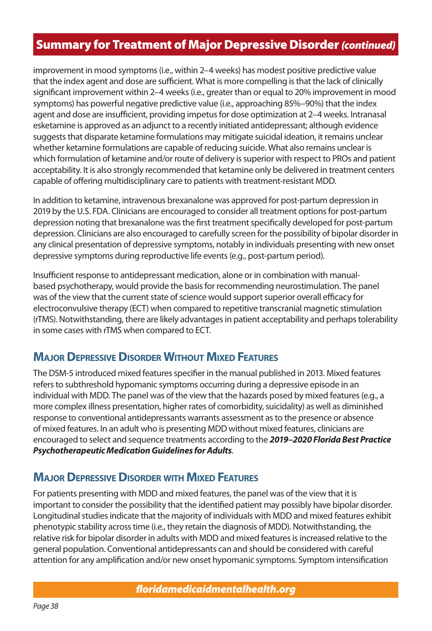# Summary for Treatment of Major Depressive Disorder *(continued)*

improvement in mood symptoms (i.e., within 2–4 weeks) has modest positive predictive value that the index agent and dose are sufficient. What is more compelling is that the lack of clinically significant improvement within 2–4 weeks (i.e., greater than or equal to 20% improvement in mood symptoms) has powerful negative predictive value (i.e., approaching 85%–90%) that the index agent and dose are insufficient, providing impetus for dose optimization at 2–4 weeks. Intranasal esketamine is approved as an adjunct to a recently initiated antidepressant; although evidence suggests that disparate ketamine formulations may mitigate suicidal ideation, it remains unclear whether ketamine formulations are capable of reducing suicide. What also remains unclear is which formulation of ketamine and/or route of delivery is superior with respect to PROs and patient acceptability. It is also strongly recommended that ketamine only be delivered in treatment centers capable of offering multidisciplinary care to patients with treatment-resistant MDD.

In addition to ketamine, intravenous brexanalone was approved for post-partum depression in 2019 by the U.S. FDA. Clinicians are encouraged to consider all treatment options for post-partum depression noting that brexanalone was the first treatment specifically developed for post-partum depression. Clinicians are also encouraged to carefully screen for the possibility of bipolar disorder in any clinical presentation of depressive symptoms, notably in individuals presenting with new onset depressive symptoms during reproductive life events (e.g., post-partum period).

Insufficient response to antidepressant medication, alone or in combination with manualbased psychotherapy, would provide the basis for recommending neurostimulation. The panel was of the view that the current state of science would support superior overall efficacy for electroconvulsive therapy (ECT) when compared to repetitive transcranial magnetic stimulation (rTMS). Notwithstanding, there are likely advantages in patient acceptability and perhaps tolerability in some cases with rTMS when compared to ECT.

### **MAJOR DEPRESSIVE DISORDER WITHOUT MIXED FEATURES**

The DSM-5 introduced mixed features specifier in the manual published in 2013. Mixed features refers to subthreshold hypomanic symptoms occurring during a depressive episode in an individual with MDD. The panel was of the view that the hazards posed by mixed features (e.g., a more complex illness presentation, higher rates of comorbidity, suicidality) as well as diminished response to conventional antidepressants warrants assessment as to the presence or absence of mixed features. In an adult who is presenting MDD without mixed features, clinicians are encouraged to select and sequence treatments according to the *2019–2020 Florida Best Practice Psychotherapeutic Medication Guidelines for Adults*.

### **MAJOR DEPRESSIVE DISORDER WITH MIXED FEATURES**

For patients presenting with MDD and mixed features, the panel was of the view that it is important to consider the possibility that the identified patient may possibly have bipolar disorder. Longitudinal studies indicate that the majority of individuals with MDD and mixed features exhibit phenotypic stability across time (i.e., they retain the diagnosis of MDD). Notwithstanding, the relative risk for bipolar disorder in adults with MDD and mixed features is increased relative to the general population. Conventional antidepressants can and should be considered with careful attention for any amplification and/or new onset hypomanic symptoms. Symptom intensification